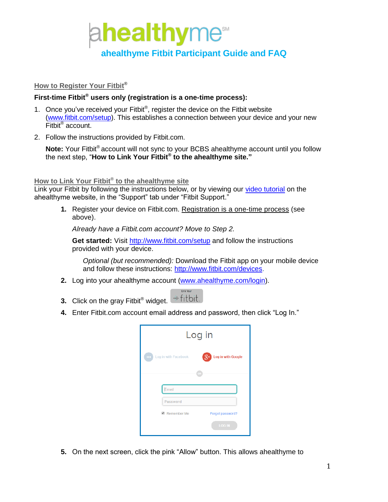

# **ahealthyme Fitbit Participant Guide and FAQ**

# **How to Register Your Fitbit**®

# **First-time Fitbit® users only (registration is a one-time process):**

- 1. Once you've received your Fitbit®, register the device on the Fitbit website [\(www.fitbit.com/](http://www.fitbit.com/)setup). This establishes a connection between your device and your new Fitbit® account.
- 2. Follow the instructions provided by Fitbit.com.

Note: Your Fitbit<sup>®</sup> account will not sync to your BCBS ahealthyme account until you follow the next step, "**How to Link Your Fitbit® to the ahealthyme site."**

#### **How to Link Your Fitbit® to the ahealthyme site**

Link your Fitbit by following the instructions below, or by viewing our [video tutorial](https://view.knowledgevision.com/presentation/b5b66d4be906493490026b20c051d3a9) on the ahealthyme website, in the "Support" tab under "Fitbit Support."

**1.** Register your device on Fitbit.com. Registration is a one-time process (see above).

*Already have a Fitbit.com account? Move to Step 2.* 

**Get started:** Visit <http://www.fitbit.com/setup> and follow the instructions provided with your device.

*Optional (but recommended):* Download the Fitbit app on your mobile device and follow these instructions: [http://www.fitbit.com/devices.](http://www.fitbit.com/devices)

- **2.** Log into your ahealthyme account [\(www.ahealthyme.com/login\)](http://www.ahealthyme.com/login).
- +fitbit. **3.** Click on the gray Fitbit ® widget.
- **4.** Enter Fitbit.com account email address and password, then click "Log In."

| Log in                    |                            |  |
|---------------------------|----------------------------|--|
| Log in with Facebook<br>ш | $8+$<br>Log in with Google |  |
|                           | $\Omega$                   |  |
| Email                     |                            |  |
| Password                  |                            |  |
| Remember Me               | Forgot password?           |  |
|                           | <b>LOG IN</b>              |  |

**5.** On the next screen, click the pink "Allow" button. This allows ahealthyme to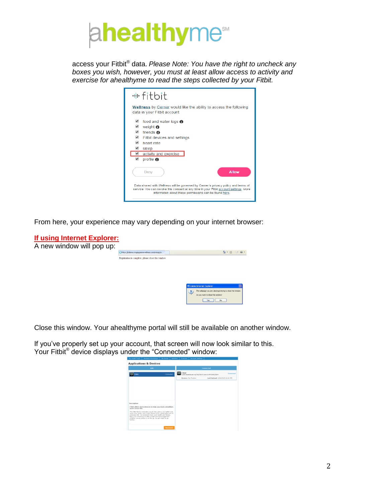

access your Fitbit® data. *Please Note: You have the right to uncheck any boxes you wish, however, you must at least allow access to activity and exercise for ahealthyme to read the steps collected by your Fitbit.*

| ⊕ fitbit.                                                                                                                                                                                                                                                                                      |
|------------------------------------------------------------------------------------------------------------------------------------------------------------------------------------------------------------------------------------------------------------------------------------------------|
| Wellness by Cerner would like the ability to access the following<br>data in your Fitbit account                                                                                                                                                                                               |
| ✔<br>food and water logs @<br>$\overline{\mathscr{L}}$<br>weight $\boldsymbol{\Theta}$<br>$\overline{\mathscr{L}}$<br>friends @<br>$\overline{\mathscr{L}}$<br>Fitbit devices and settings<br>$\overline{\mathscr{L}}$<br>heart rate<br>sleep<br>activity and exercise<br>profile <sup>®</sup> |
| <b>Allow</b><br>Denv<br>Data shared with Wellness will be governed by Cerner's privacy policy and terms of<br>service. You can revoke this consent at any time in your Fitbit account settings. More<br>information about these permissions can be found here.                                 |

From here, your experience may vary depending on your internet browser:



Close this window. Your ahealthyme portal will still be available on another window.

If you've properly set up your account, that screen will now look similar to this. Your Fitbit® device displays under the "Connected" window:

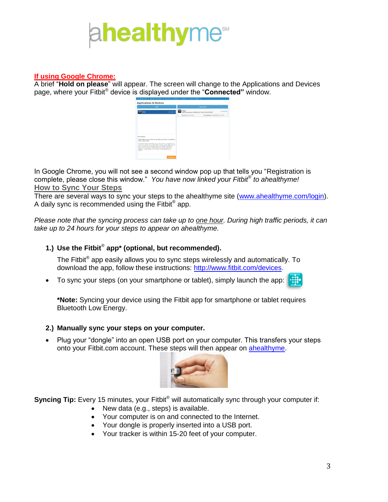# **healthy**me<sup>ss</sup>

# **If using Google Chrome:**

A brief "**Hold on please**" will appear. The screen will change to the Applications and Devices page, where your Fitbit® device is displayed under the "**Connected"** window.



In Google Chrome, you will not see a second window pop up that tells you "Registration is complete, please close this window." *You have now linked your Fitbit*® *to ahealthyme!* **How to Sync Your Steps**

There are several ways to sync your steps to the ahealthyme site [\(www.ahealthyme.com/login\)](http://www.ahealthyme.com/login). A daily sync is recommended using the Fitbit<sup>®</sup> app.

*Please note that the syncing process can take up to one hour. During high traffic periods, it can take up to 24 hours for your steps to appear on ahealthyme.*

# **1.) Use the Fitbit**® **app\* (optional, but recommended).**

The Fitbit $^{\circledast}$  app easily allows you to sync steps wirelessly and automatically. To download the app, follow these instructions: [http://www.fitbit.com/devices.](http://www.fitbit.com/devices)

To sync your steps (on your smartphone or tablet), simply launch the app:

**\*Note:** Syncing your device using the Fitbit app for smartphone or tablet requires Bluetooth Low Energy.

# **2.) Manually sync your steps on your computer.**

• Plug your "dongle" into an open USB port on your computer. This transfers your steps onto your Fitbit.com account. These steps will then appear on [ahealthyme.](http://www.ahealthyme.com/login)



**Syncing Tip:** Every 15 minutes, your Fitbit<sup>®</sup> will automatically sync through your computer if:

- New data (e.g., steps) is available.
- Your computer is on and connected to the Internet.
- Your dongle is properly inserted into a USB port.
- Your tracker is within 15-20 feet of your computer.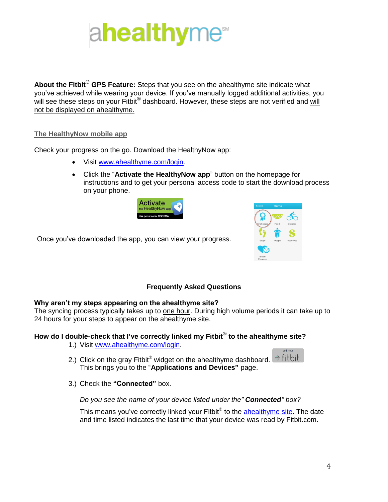

**About the Fitbit**® **GPS Feature:** Steps that you see on the ahealthyme site indicate what you've achieved while wearing your device. If you've manually logged additional activities, you will see these steps on your Fitbit® dashboard. However, these steps are not verified and will not be displayed on ahealthyme.

# **The HealthyNow mobile app**

Check your progress on the go. Download the HealthyNow app:

- Visit [www.ahealthyme.com/login.](http://www.ahealthyme.com/login)
- Click the "**Activate the HealthyNow app**" button on the homepage for instructions and to get your personal access code to start the download process on your phone.





Once you've downloaded the app, you can view your progress.

# **Frequently Asked Questions**

#### **Why aren't my steps appearing on the ahealthyme site?**

The syncing process typically takes up to one hour. During high volume periods it can take up to 24 hours for your steps to appear on the ahealthyme site.

# **How do I double-check that I've correctly linked my Fitbit**® **to the ahealthyme site?**

- 1.) Visit [www.ahealthyme.com/login.](http://www.ahealthyme.com/login)
- 2.) Click on the gray Fitbit® widget on the ahealthyme dashboard.  $\pm$  fitbit. This brings you to the "**Applications and Devices"** page.
- 3.) Check the **"Connected"** box.

# *Do you see the name of your device listed under the" Connected" box?*

This means you've correctly linked your Fitbit® to the **ahealthyme site**. The date and time listed indicates the last time that your device was read by Fitbit.com.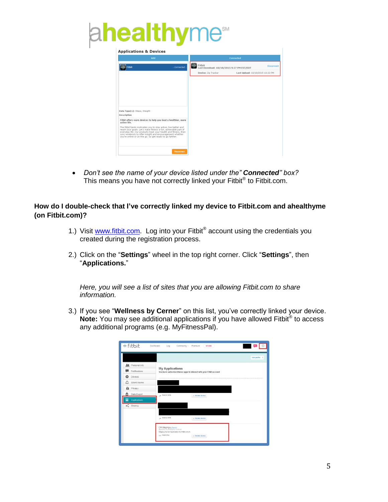# $\mu$  **security**



 *Don't see the name of your device listed under the" Connected" box?* This means you have not correctly linked your Fitbit® to Fitbit.com.

**How do I double-check that I've correctly linked my device to Fitbit.com and ahealthyme (on Fitbit.com)?**

- 1.) Visit [www.fitbit.com.](http://www.fitbit.com/) Log into your Fitbit® account using the credentials you created during the registration process.
- 2.) Click on the "**Settings**" wheel in the top right corner. Click "**Settings**", then "**Applications.**"

*Here, you will see a list of sites that you are allowing Fitbit.com to share information.*

3.) If you see "**Wellness by Cerner**" on this list, you've correctly linked your device. Note: You may see additional applications if you have allowed Fitbit® to access any additional programs (e.g. MyFitnessPal).

|                         |                                                                                                       |                   | View profile > |
|-------------------------|-------------------------------------------------------------------------------------------------------|-------------------|----------------|
| <b>R4</b> Personal Info |                                                                                                       |                   |                |
| Notifications           | <b>My Applications</b><br>You have authorized these apps to interact with your Fitbit account         |                   |                |
| Devices<br>o            |                                                                                                       |                   |                |
| Δ<br>Silent Alarms      |                                                                                                       |                   |                |
| ⋒<br>Privacy            |                                                                                                       |                   |                |
| Data Export<br>面        | - Read & Victor                                                                                       | or Revolve Access |                |
| ▣<br>Applications       |                                                                                                       |                   |                |
| $\ll^0_a$ Sharing       |                                                                                                       |                   |                |
|                         |                                                                                                       |                   |                |
|                         | - Frest & Vale                                                                                        | or Revolve Access |                |
|                         | CW Staging by Cemer<br>Approved on 2014/02/13 13:28:45<br>Staging Server Application for FitBit oAuth |                   |                |